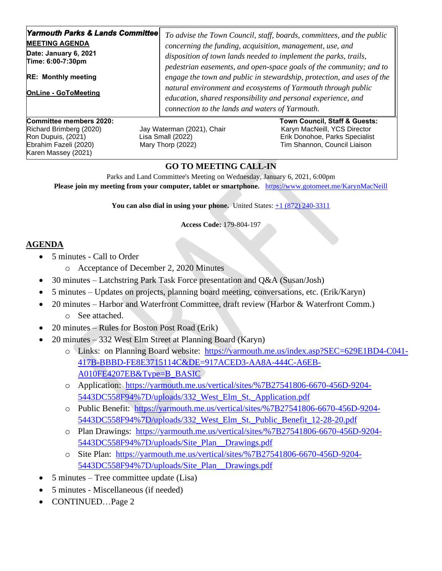| <b>Yarmouth Parks &amp; Lands Committee</b><br><b>MEETING AGENDA</b><br>Date: January 6, 2021<br>Time: 6:00-7:30pm<br><b>RE: Monthly meeting</b><br><b>OnLine - GoToMeeting</b> | connection to the lands and waters of Yarmouth. | To advise the Town Council, staff, boards, committees, and the public<br>concerning the funding, acquisition, management, use, and<br>disposition of town lands needed to implement the parks, trails,<br>pedestrian easements, and open-space goals of the community; and to<br>engage the town and public in stewardship, protection, and uses of the<br>natural environment and ecosystems of Yarmouth through public<br>education, shared responsibility and personal experience, and |
|---------------------------------------------------------------------------------------------------------------------------------------------------------------------------------|-------------------------------------------------|-------------------------------------------------------------------------------------------------------------------------------------------------------------------------------------------------------------------------------------------------------------------------------------------------------------------------------------------------------------------------------------------------------------------------------------------------------------------------------------------|
| Committee members 2020:<br>Richard Brimberg (2020)<br>Jay Waterman (2021), Chair                                                                                                |                                                 | Town Council, Staff & Guests:<br>Karyn MacNeill, YCS Director                                                                                                                                                                                                                                                                                                                                                                                                                             |

Karen Massey (2021)

Ron Dupuis, (2021) Lisa Small (2022) Erik Donohoe, Parks Specialist Ebrahim Fazeli (2020) Mary Thorp (2022) Tim Shannon, Council Liaison

## **GO TO MEETING CALL-IN**

Parks and Land Committee's Meeting on Wednesday, January 6, 2021, 6:00pm **Please join my meeting from your computer, tablet or smartphone.** <https://www.gotomeet.me/KarynMacNeill>

**You can also dial in using your phone.** United States:  $\pm 1$  (872) 240-3311

**Access Code:** 179-804-197

## **AGENDA**

- 5 minutes Call to Order
	- o Acceptance of December 2, 2020 Minutes
- 30 minutes Latchstring Park Task Force presentation and Q&A (Susan/Josh)
- 5 minutes Updates on projects, planning board meeting, conversations, etc. (Erik/Karyn)
- 20 minutes Harbor and Waterfront Committee, draft review (Harbor & Waterfront Comm.)
	- o See attached.
- 20 minutes Rules for Boston Post Road (Erik)
- 20 minutes 332 West Elm Street at Planning Board (Karyn)
	- o Links: on Planning Board website: [https://yarmouth.me.us/index.asp?SEC=629E1BD4-C041-](https://yarmouth.me.us/index.asp?SEC=629E1BD4-C041-417B-BBBD-FE8E3715114C&DE=917ACED3-AA8A-444C-A6EB-A010FE4207EB&Type=B_BASIC) [417B-BBBD-FE8E3715114C&DE=917ACED3-AA8A-444C-A6EB-](https://yarmouth.me.us/index.asp?SEC=629E1BD4-C041-417B-BBBD-FE8E3715114C&DE=917ACED3-AA8A-444C-A6EB-A010FE4207EB&Type=B_BASIC)[A010FE4207EB&Type=B\\_BASIC](https://yarmouth.me.us/index.asp?SEC=629E1BD4-C041-417B-BBBD-FE8E3715114C&DE=917ACED3-AA8A-444C-A6EB-A010FE4207EB&Type=B_BASIC)
	- o Application: [https://yarmouth.me.us/vertical/sites/%7B27541806-6670-456D-9204-](https://yarmouth.me.us/vertical/sites/%7B27541806-6670-456D-9204-5443DC558F94%7D/uploads/332_West_Elm_St._Application.pdf) 5443DC558F94%7D/uploads/332 West Elm St. Application.pdf
	- o Public Benefit: [https://yarmouth.me.us/vertical/sites/%7B27541806-6670-456D-9204-](https://yarmouth.me.us/vertical/sites/%7B27541806-6670-456D-9204-5443DC558F94%7D/uploads/332_West_Elm_St._Public_Benefit_12-28-20.pdf) [5443DC558F94%7D/uploads/332\\_West\\_Elm\\_St.\\_Public\\_Benefit\\_12-28-20.pdf](https://yarmouth.me.us/vertical/sites/%7B27541806-6670-456D-9204-5443DC558F94%7D/uploads/332_West_Elm_St._Public_Benefit_12-28-20.pdf)
	- o Plan Drawings: [https://yarmouth.me.us/vertical/sites/%7B27541806-6670-456D-9204-](https://yarmouth.me.us/vertical/sites/%7B27541806-6670-456D-9204-5443DC558F94%7D/uploads/Site_Plan__Drawings.pdf) [5443DC558F94%7D/uploads/Site\\_Plan\\_\\_Drawings.pdf](https://yarmouth.me.us/vertical/sites/%7B27541806-6670-456D-9204-5443DC558F94%7D/uploads/Site_Plan__Drawings.pdf)
	- o Site Plan: [https://yarmouth.me.us/vertical/sites/%7B27541806-6670-456D-9204-](https://yarmouth.me.us/vertical/sites/%7B27541806-6670-456D-9204-5443DC558F94%7D/uploads/Site_Plan__Drawings.pdf) [5443DC558F94%7D/uploads/Site\\_Plan\\_\\_Drawings.pdf](https://yarmouth.me.us/vertical/sites/%7B27541806-6670-456D-9204-5443DC558F94%7D/uploads/Site_Plan__Drawings.pdf)
- 5 minutes Tree committee update (Lisa)
- 5 minutes Miscellaneous (if needed)
- CONTINUED…Page 2